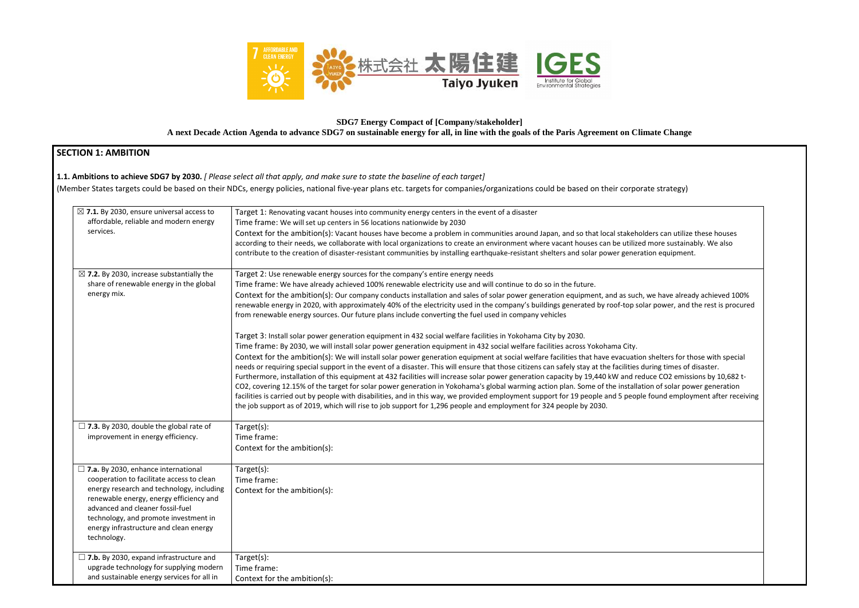

# **SDG7 Energy Compact of [Company/stakeholder] A next Decade Action Agenda to advance SDG7 on sustainable energy for all, in line with the goals of the Paris Agreement on Climate Change**

## **SECTION 1: AMBITION**

**1.1. Ambitions to achieve SDG7 by 2030.** *[ Please select all that apply, and make sure to state the baseline of each target]* 

(Member States targets could be based on their NDCs, energy policies, national five-year plans etc. targets for companies/organizations could be based on their corporate strategy)

|                                                                             | $\boxtimes$ 7.1. By 2030, ensure universal access to | Target 1: Renovating vacant houses into community energy centers in the event of a disaster                                                             |
|-----------------------------------------------------------------------------|------------------------------------------------------|---------------------------------------------------------------------------------------------------------------------------------------------------------|
| affordable, reliable and modern energy                                      |                                                      | Time frame: We will set up centers in 56 locations nationwide by 2030                                                                                   |
| services.                                                                   |                                                      | Context for the ambition(s): Vacant houses have become a problem in communities around Japan, and so that local stakeholders can utilize                |
|                                                                             |                                                      | according to their needs, we collaborate with local organizations to create an environment where vacant houses can be utilized more sustainal           |
|                                                                             |                                                      | contribute to the creation of disaster-resistant communities by installing earthquake-resistant shelters and solar power generation equipment.          |
|                                                                             |                                                      |                                                                                                                                                         |
|                                                                             | $\boxtimes$ 7.2. By 2030, increase substantially the | Target 2: Use renewable energy sources for the company's entire energy needs                                                                            |
|                                                                             | share of renewable energy in the global              | Time frame: We have already achieved 100% renewable electricity use and will continue to do so in the future.                                           |
| energy mix.                                                                 |                                                      | Context for the ambition(s): Our company conducts installation and sales of solar power generation equipment, and as such, we have alread               |
|                                                                             |                                                      | renewable energy in 2020, with approximately 40% of the electricity used in the company's buildings generated by roof-top solar power, and t            |
|                                                                             |                                                      | from renewable energy sources. Our future plans include converting the fuel used in company vehicles                                                    |
|                                                                             |                                                      | Target 3: Install solar power generation equipment in 432 social welfare facilities in Yokohama City by 2030.                                           |
|                                                                             |                                                      | Time frame: By 2030, we will install solar power generation equipment in 432 social welfare facilities across Yokohama City.                            |
|                                                                             |                                                      | Context for the ambition(s): We will install solar power generation equipment at social welfare facilities that have evacuation shelters for the        |
|                                                                             |                                                      | needs or requiring special support in the event of a disaster. This will ensure that those citizens can safely stay at the facilities during times of d |
|                                                                             |                                                      | Furthermore, installation of this equipment at 432 facilities will increase solar power generation capacity by 19,440 kW and reduce CO2 emissi          |
|                                                                             |                                                      | CO2, covering 12.15% of the target for solar power generation in Yokohama's global warming action plan. Some of the installation of solar pow           |
|                                                                             |                                                      | facilities is carried out by people with disabilities, and in this way, we provided employment support for 19 people and 5 people found employr         |
|                                                                             |                                                      | the job support as of 2019, which will rise to job support for 1,296 people and employment for 324 people by 2030.                                      |
|                                                                             | $\Box$ 7.3. By 2030, double the global rate of       | Target(s):                                                                                                                                              |
| improvement in energy efficiency.                                           |                                                      | Time frame:                                                                                                                                             |
|                                                                             |                                                      | Context for the ambition(s):                                                                                                                            |
|                                                                             |                                                      |                                                                                                                                                         |
| $\Box$ 7.a. By 2030, enhance international                                  |                                                      | $Target(s)$ :                                                                                                                                           |
|                                                                             | cooperation to facilitate access to clean            | Time frame:                                                                                                                                             |
|                                                                             | energy research and technology, including            | Context for the ambition(s):                                                                                                                            |
| renewable energy, energy efficiency and<br>advanced and cleaner fossil-fuel |                                                      |                                                                                                                                                         |
|                                                                             | technology, and promote investment in                |                                                                                                                                                         |
|                                                                             | energy infrastructure and clean energy               |                                                                                                                                                         |
| technology.                                                                 |                                                      |                                                                                                                                                         |
|                                                                             |                                                      |                                                                                                                                                         |
|                                                                             | $\Box$ 7.b. By 2030, expand infrastructure and       | Target(s):                                                                                                                                              |
|                                                                             | upgrade technology for supplying modern              | Time frame:                                                                                                                                             |
|                                                                             | and sustainable energy services for all in           | Context for the ambition(s):                                                                                                                            |

ders can utilize these houses more sustainably. We also we have already achieved 100% r power, and the rest is procured shelters for those with special ing times of disaster. Ice CO2 emissions by 10,682 ton of solar power generation found employment after receiving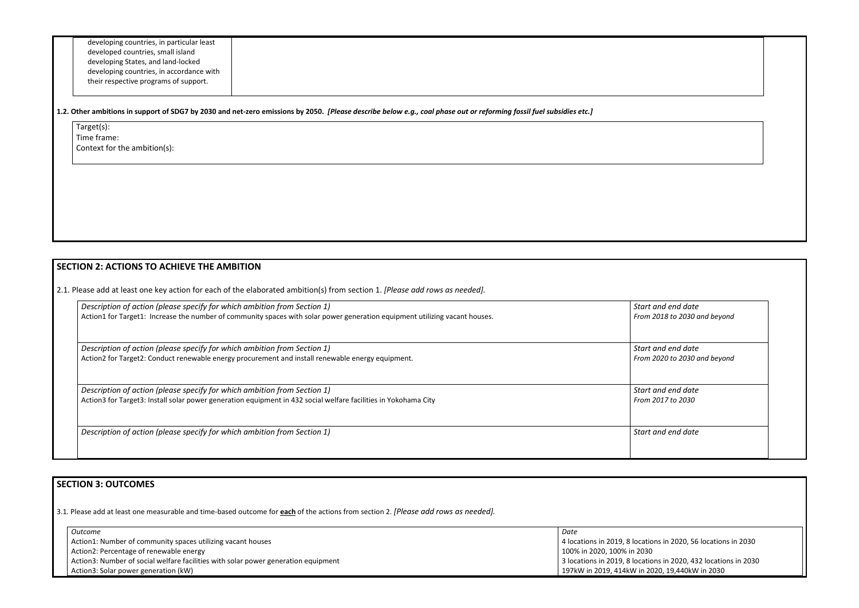developing countries, in particular least developed countries, small island developing States, and land-locked developing countries, in accordance with their respective programs of support.

#### **1.2. Other ambitions in support of SDG7 by 2030 and net-zero emissions by 2050.** *[Please describe below e.g., coal phase out or reforming fossil fuel subsidies etc.]*

Target(s): Time frame: Context for the ambition(s):

# **SECTION 2: ACTIONS TO ACHIEVE THE AMBITION**

2.1. Please add at least one key action for each of the elaborated ambition(s) from section 1. *[Please add rows as needed].*

| Description of action (please specify for which ambition from Section 1)                                                    | Start and end date  |
|-----------------------------------------------------------------------------------------------------------------------------|---------------------|
| Action1 for Target1: Increase the number of community spaces with solar power generation equipment utilizing vacant houses. | From 2018 to 2030 a |
| Description of action (please specify for which ambition from Section 1)                                                    | Start and end date  |
| Action2 for Target2: Conduct renewable energy procurement and install renewable energy equipment.                           | From 2020 to 2030 a |
| Description of action (please specify for which ambition from Section 1)                                                    | Start and end date  |
| Action3 for Target3: Install solar power generation equipment in 432 social welfare facilities in Yokohama City             | From 2017 to 2030   |
| Description of action (please specify for which ambition from Section 1)                                                    | Start and end date  |
|                                                                                                                             |                     |

| Start and end date<br>From 2018 to 2030 and beyond |  |
|----------------------------------------------------|--|
| Start and end date<br>From 2020 to 2030 and beyond |  |
| Start and end date<br>From 2017 to 2030            |  |
| Start and end date                                 |  |

# **SECTION 3: OUTCOMES**

| I SECHON 3: OUTCOMES                                                                                                                |                                                                 |  |  |  |
|-------------------------------------------------------------------------------------------------------------------------------------|-----------------------------------------------------------------|--|--|--|
| 3.1. Please add at least one measurable and time-based outcome for each of the actions from section 2. [Please add rows as needed]. |                                                                 |  |  |  |
| Outcome                                                                                                                             | Date                                                            |  |  |  |
| Action1: Number of community spaces utilizing vacant houses                                                                         | 4 locations in 2019, 8 locations in 2020, 56 locations in 2030  |  |  |  |
| Action2: Percentage of renewable energy                                                                                             | 100% in 2020, 100% in 2030                                      |  |  |  |
| Action3: Number of social welfare facilities with solar power generation equipment                                                  | 3 locations in 2019, 8 locations in 2020, 432 locations in 2030 |  |  |  |
| Action3: Solar power generation (kW)                                                                                                | 197kW in 2019, 414kW in 2020, 19,440kW in 2030                  |  |  |  |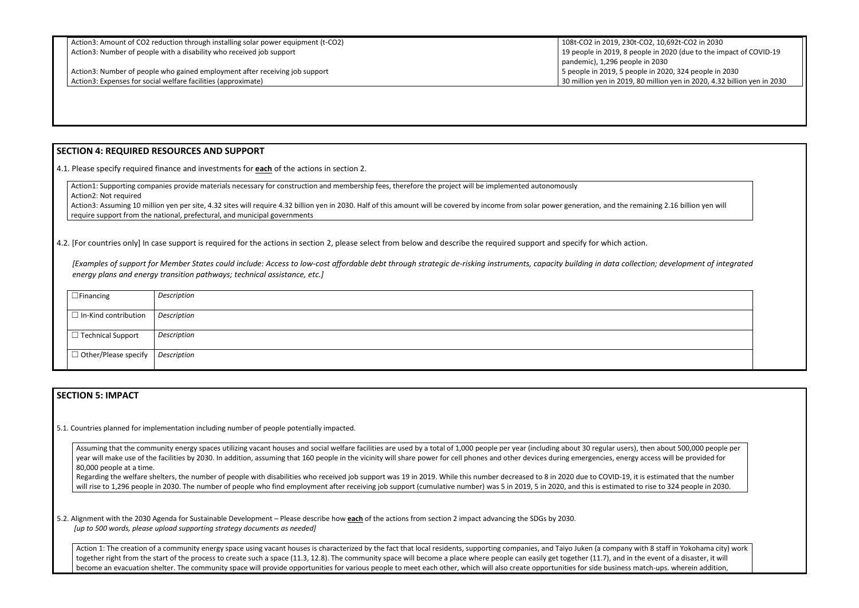Action3: Amount of CO2 reduction through installing solar power equipment (t-CO2) Action3: Number of people with a disability who received job support

19 people in 2019, 8 people in 2020 (due to the impact of COVID-19 5 people in 2019, 5 people in 2020, 324 people in 2030 30 million yen in 2019, 80 million yen in 2020, 4.32 billion yen in 2030



Action3: Assuming 10 million yen per site, 4.32 sites will require 4.32 billion yen in 2030. Half of this amount will be covered by income from solar power generation, and the remaining 2.16 billion yen will require support from the national, prefectural, and municipal governments

4.2. [For countries only] In case support is required for the actions in section 2, please select from below and describe the required support and specify for which action.

#### **SECTION 4: REQUIRED RESOURCES AND SUPPORT**

4.1. Please specify required finance and investments for **each** of the actions in section 2.

Action1: Supporting companies provide materials necessary for construction and membership fees, therefore the project will be implemented autonomously Action2: Not required

*[Examples of support for Member States could include: Access to low-cost affordable debt through strategic de-risking instruments, capacity building in data collection; development of integrated energy plans and energy transition pathways; technical assistance, etc.]*

| $\Box$ Financing                                      | Description |
|-------------------------------------------------------|-------------|
| $\Box$ In-Kind contribution   Description             |             |
| $\vert$ $\Box$ Technical Support                      | Description |
| $\vert \Box$ Other/Please specify $\vert$ Description |             |
|                                                       |             |

### **SECTION 5: IMPACT**

5.1. Countries planned for implementation including number of people potentially impacted.

Assuming that the community energy spaces utilizing vacant houses and social welfare facilities are used by a total of 1,000 people per year (including about 30 regular users), then about 500,000 people per year will make use of the facilities by 2030. In addition, assuming that 160 people in the vicinity will share power for cell phones and other devices during emergencies, energy access will be provided for 80,000 people at a time.

Regarding the welfare shelters, the number of people with disabilities who received job support was 19 in 2019. While this number decreased to 8 in 2020 due to COVID-19, it is estimated that the number will rise to 1,296 people in 2030. The number of people who find employment after receiving job support (cumulative number) was 5 in 2019, 5 in 2020, and this is estimated to rise to 324 people in 2030.

5.2. Alignment with the 2030 Agenda for Sustainable Development – Please describe how **each** of the actions from section 2 impact advancing the SDGs by 2030. *[up to 500 words, please upload supporting strategy documents as needed]* 

Action 1: The creation of a community energy space using vacant houses is characterized by the fact that local residents, supporting companies, and Taiyo Juken (a company with 8 staff in Yokohama city) work together right from the start of the process to create such a space (11.3, 12.8). The community space will become a place where people can easily get together (11.7), and in the event of a disaster, it will become an evacuation shelter. The community space will provide opportunities for various people to meet each other, which will also create opportunities for side business match-ups. wherein addition,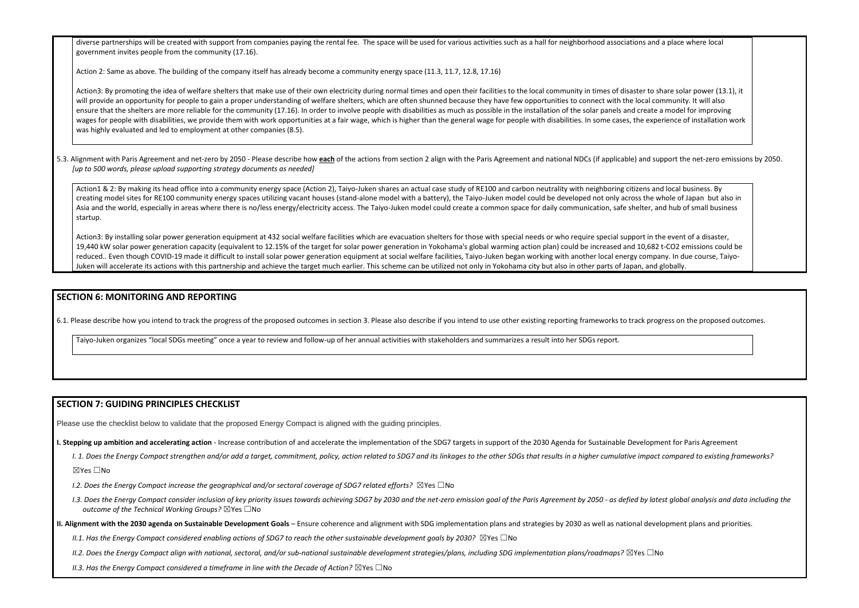diverse partnerships will be created with support from companies paying the rental fee. The space will be used for various activities such as a hall for neighborhood associations government invites people from the community (17.16).

Action 2: Same as above. The building of the company itself has already become a community energy space (11.3, 11.7, 12.8, 17.16)

Action3: By promoting the idea of welfare shelters that make use of their own electricity during normal times and open their facilities to the local community in times of disaster will provide an opportunity for people to gain a proper understanding of welfare shelters, which are often shunned because they have few opportunities to connect with the loca ensure that the shelters are more reliable for the community (17.16). In order to involve people with disabilities as much as possible in the installation of the solar panels and cre wages for people with disabilities, we provide them with work opportunities at a fair wage, which is higher than the general wage for people with disabilities. In some cases, the experience of installation work of installa was highly evaluated and led to employment at other companies (8.5).

5.3. Alignment with Paris Agreement and net-zero by 2050 - Please describe how each of the actions from section 2 align with the Paris Agreement and national NDCs (if applicable) and *[up to 500 words, please upload supporting strategy documents as needed]* 

Action1 & 2: By making its head office into a community energy space (Action 2), Taiyo-Juken shares an actual case study of RE100 and carbon neutrality with neighboring citizen. creating model sites for RE100 community energy spaces utilizing vacant houses (stand-alone model with a battery), the Taiyo-Juken model could be developed not only across the unit also intervies in the Majon but also inte Asia and the world, especially in areas where there is no/less energy/electricity access. The Taiyo-Juken model could create a common space for daily communication, safe shelte startup.

Action3: By installing solar power generation equipment at 432 social welfare facilities which are evacuation shelters for those with special needs or who require special support 19,440 kW solar power generation capacity (equivalent to 12.15% of the target for solar power generation in Yokohama's global warming action plan) could be increased and 10, reduced.. Even though COVID-19 made it difficult to install solar power generation equipment at social welfare facilities, Taiyo-Juken began working with another local energy company. Juken will accelerate its actions with this partnership and achieve the target much earlier. This scheme can be utilized not only in Yokohama city but also in other parts of Japan, and

#### **SECTION 6: MONITORING AND REPORTING**

6.1. Please describe how you intend to track the progress of the proposed outcomes in section 3. Please also describe if you intend to use other existing reporting frameworks to track progress on the proposed outcomes.

Taiyo-Juken organizes "local SDGs meeting" once a year to review and follow-up of her annual activities with stakeholders and summarizes a result into her SDGs report.

#### **SECTION 7: GUIDING PRINCIPLES CHECKLIST**

Please use the checklist below to validate that the proposed Energy Compact is aligned with the guiding principles.

- **I. Stepping up ambition and accelerating action** Increase contribution of and accelerate the implementation of the SDG7 targets in support of the 2030 Agenda for Sustainable Development for Paris Agreement
	- I. 1. Does the Energy Compact strengthen and/or add a target, commitment, policy, action related to SDG7 and its linkages to the other SDGs that results in a higher cumulative impact compared to existing frameworks?

☒Yes ☐No

- *I.2. Does the Energy Compact increase the geographical and/or sectoral coverage of SDG7 related efforts?* ⊠Yes □No
- I.3. Does the Energy Compact consider inclusion of key priority issues towards achieving SDG7 by 2030 and the net-zero emission goal of the Paris Agreement by 2050 as defied by latest global analysis and data including t *outcome of the Technical Working Groups?* ☒Yes ☐No
- **II. Alignment with the 2030 agenda on Sustainable Development Goals** Ensure coherence and alignment with SDG implementation plans and strategies by 2030 as well as national development plans and priorities.
	- *II.1. Has the Energy Compact considered enabling actions of SDG7 to reach the other sustainable development goals by 2030?* ⊠Yes □No
	- *II.2. Does the Energy Compact align with national, sectoral, and/or sub-national sustainable development strategies/plans, including SDG implementation plans/roadmaps?* ☒Yes ☐No
	- *II.3. Has the Energy Compact considered a timeframe in line with the Decade of Action?* ⊠Yes □No

| and a place where local                                                                                                       |  |
|-------------------------------------------------------------------------------------------------------------------------------|--|
| to share solar power (13.1), it<br>al community. It will also<br>ate a model for improving<br>experience of installation work |  |
| d support the net-zero emissions by 2050.                                                                                     |  |
| s and local business. By<br>he whole of Japan but also in<br>er, and hub of small business                                    |  |
| in the event of a disaster,<br>682 t-CO2 emissions could be<br>mpany. In due course, Taiyo-<br>and globally.                  |  |
|                                                                                                                               |  |
| progress on the proposed outcomes.                                                                                            |  |
|                                                                                                                               |  |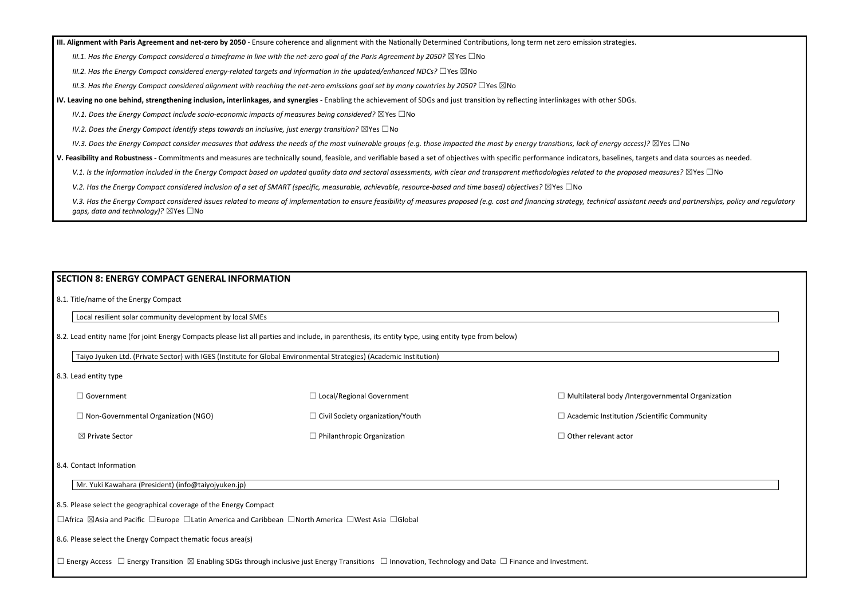**III. Alignment with Paris Agreement and net-zero by 2050** - Ensure coherence and alignment with the Nationally Determined Contributions, long term net zero emission strategies.

*III.1. Has the Energy Compact considered a timeframe in line with the net-zero goal of the Paris Agreement by 2050?* ⊠Yes □No

*III.2. Has the Energy Compact considered energy-related targets and information in the updated/enhanced NDCs?* ☐Yes ☒No

*III.3. Has the Energy Compact considered alignment with reaching the net-zero emissions goal set by many countries by 2050?* ☐Yes ☒No

**IV. Leaving no one behind, strengthening inclusion, interlinkages, and synergies** - Enabling the achievement of SDGs and just transition by reflecting interlinkages with other SDGs.

*IV.1. Does the Energy Compact include socio-economic impacts of measures being considered?* ⊠Yes □No

*IV.2. Does the Energy Compact identify steps towards an inclusive, just energy transition?* ⊠Yes □No

*IV.3. Does the Energy Compact consider measures that address the needs of the most vulnerable groups (e.g. those impacted the most by energy transitions, lack of energy access)?* ⊠Yes □No

**V. Feasibility and Robustness -** Commitments and measures are technically sound, feasible, and verifiable based a set of objectives with specific performance indicators, baselines, targets and data sources as needed.

V.1. Is the information included in the Energy Compact based on updated quality data and sectoral assessments, with clear and transparent methodologies related to the proposed measures? ⊠Yes □No

*V.2. Has the Energy Compact considered inclusion of a set of SMART (specific, measurable, achievable, resource-based and time based) objectives?* ⊠Yes □No

V.3. Has the Energy Compact considered issues related to means of implementation to ensure feasibility of measures proposed (e.g. cost and financing strategy, technical assistant needs and partnerships, policy and regulato *gaps, data and technology)?* ⊠Yes □No

#### **SECTION 8: ENERGY COMPACT GENERAL INFORMATION**

8.1. Title/name of the Energy Compact

Local resilient solar community development by local SMEs

8.2. Lead entity name (for joint Energy Compacts please list all parties and include, in parenthesis, its entity type, using entity type from below)

Taiyo Jyuken Ltd. (Private Sector) with IGES (Institute for Global Environmental Strategies) (Academic Institution)

8.3. Lead entity type

□ Government ☐ Non-Governmental Organization (NGO) ☒ Private Sector ☐ Local/Regional Government ☐ Civil Society organization/Youth ☐ Philanthropic Organization  $\Box$  Multilateral body /Intergo  $\Box$  Academic Institution / Scientific Community □ Other relevant actor

8.4. Contact Information

Mr. Yuki Kawahara (President) (info@taiyojyuken.jp)

8.5. Please select the geographical coverage of the Energy Compact

☐Africa ☒Asia and Pacific ☐Europe ☐Latin America and Caribbean ☐North America ☐West Asia ☐Global

8.6. Please select the Energy Compact thematic focus area(s)

☐ Energy Access ☐ Energy Transition ☒ Enabling SDGs through inclusive just Energy Transitions ☐ Innovation, Technology and Data ☐ Finance and Investment.

| overnmental Organization |
|--------------------------|
| entific Community        |
|                          |
|                          |
|                          |
|                          |
|                          |
|                          |
|                          |
|                          |
|                          |